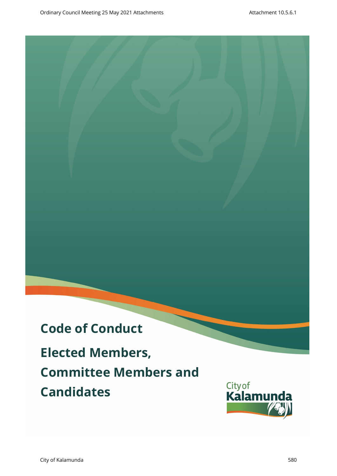# **Code of Conduct**

**Elected Members, Committee Members and Candidates Draftware Council Members,**<br> **Draft** Ordinary Council Members,<br>
Committee Members and Candidates (Atlanting Council Members)

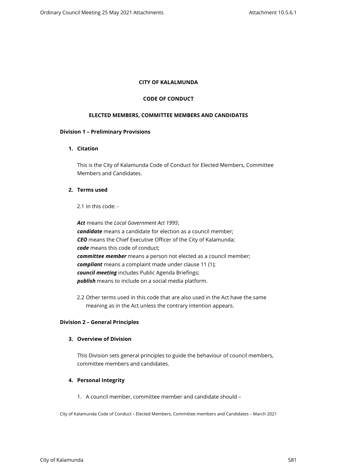#### **CITY OF KALALMUNDA**

#### **CODE OF CONDUCT**

#### **ELECTED MEMBERS, COMMITTEE MEMBERS AND CANDIDATES**

#### **Division 1 – Preliminary Provisions**

## **1. Citation**

This is the City of Kalamunda Code of Conduct for Elected Members, Committee Members and Candidates.

# **2. Terms used**

2.1 In this code: -

*Act* means the *Local Government Act 1995*; *candidate* means a candidate for election as a council member; *CEO* means the Chief Executive Officer of the City of Kalamunda; *code* means this code of conduct; *committee member* means a person not elected as a council member; *compliant* means a complaint made under clause 11 (1); *council meeting* includes Public Agenda Briefings; *publish* means to include on a social media platform.

2.2 Other terms used in this code that are also used in the Act have the same meaning as in the Act unless the contrary intention appears.

#### **Division 2 – General Principles**

#### **3. Overview of Division**

This Division sets general principles to guide the behaviour of council members, committee members and candidates.

## **4. Personal Integrity**

1. A council member, committee member and candidate should –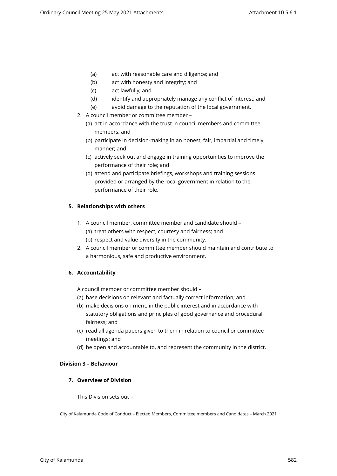- (a) act with reasonable care and diligence; and
- (b) act with honesty and integrity; and
- (c) act lawfully; and
- (d) identify and appropriately manage any conflict of interest; and
- (e) avoid damage to the reputation of the local government.
- 2. A council member or committee member
	- (a) act in accordance with the trust in council members and committee members; and
	- (b) participate in decision-making in an honest, fair, impartial and timely manner; and
	- (c) actively seek out and engage in training opportunities to improve the performance of their role; and
	- (d) attend and participate briefings, workshops and training sessions provided or arranged by the local government in relation to the performance of their role.

## **5. Relationships with others**

- 1. A council member, committee member and candidate should (a) treat others with respect, courtesy and fairness; and (b) respect and value diversity in the community.
- 2. A council member or committee member should maintain and contribute to a harmonious, safe and productive environment.

## **6. Accountability**

A council member or committee member should –

- (a) base decisions on relevant and factually correct information; and
- (b) make decisions on merit, in the public interest and in accordance with statutory obligations and principles of good governance and procedural fairness; and
- (c) read all agenda papers given to them in relation to council or committee meetings; and
- (d) be open and accountable to, and represent the community in the district.

#### **Division 3 – Behaviour**

## **7. Overview of Division**

This Division sets out –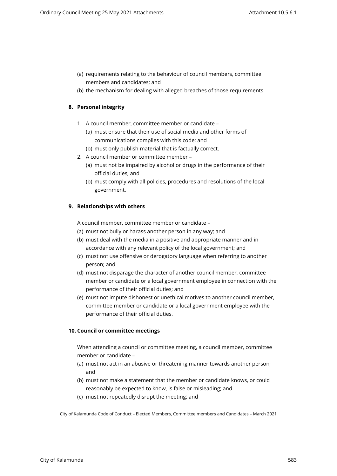- (a) requirements relating to the behaviour of council members, committee members and candidates; and
- (b) the mechanism for dealing with alleged breaches of those requirements.

# **8. Personal integrity**

- 1. A council member, committee member or candidate
	- (a) must ensure that their use of social media and other forms of communications complies with this code; and
	- (b) must only publish material that is factually correct.
- 2. A council member or committee member
	- (a) must not be impaired by alcohol or drugs in the performance of their official duties; and
	- (b) must comply with all policies, procedures and resolutions of the local government.

## **9. Relationships with others**

A council member, committee member or candidate –

- (a) must not bully or harass another person in any way; and
- (b) must deal with the media in a positive and appropriate manner and in accordance with any relevant policy of the local government; and
- (c) must not use offensive or derogatory language when referring to another person; and
- (d) must not disparage the character of another council member, committee member or candidate or a local government employee in connection with the performance of their official duties; and
- (e) must not impute dishonest or unethical motives to another council member, committee member or candidate or a local government employee with the performance of their official duties.

# **10. Council or committee meetings**

When attending a council or committee meeting, a council member, committee member or candidate –

- (a) must not act in an abusive or threatening manner towards another person; and
- (b) must not make a statement that the member or candidate knows, or could reasonably be expected to know, is false or misleading; and
- (c) must not repeatedly disrupt the meeting; and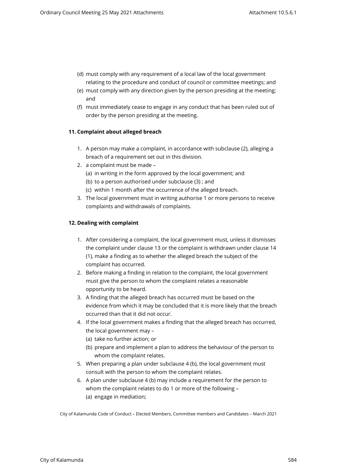- (d) must comply with any requirement of a local law of the local government relating to the procedure and conduct of council or committee meetings; and
- (e) must comply with any direction given by the person presiding at the meeting; and
- (f) must immediately cease to engage in any conduct that has been ruled out of order by the person presiding at the meeting.

## **11. Complaint about alleged breach**

- 1. A person may make a complaint, in accordance with subclause (2), alleging a breach of a requirement set out in this division.
- 2. a complaint must be made
	- (a) in writing in the form approved by the local government; and
	- (b) to a person authorised under subclause (3) ; and
	- (c) within 1 month after the occurrence of the alleged breach.
- 3. The local government must in writing authorise 1 or more persons to receive complaints and withdrawals of complaints.

## **12. Dealing with complaint**

- 1. After considering a complaint, the local government must, unless it dismisses the complaint under clause 13 or the complaint is withdrawn under clause 14 (1), make a finding as to whether the alleged breach the subject of the complaint has occurred.
- 2. Before making a finding in relation to the complaint, the local government must give the person to whom the complaint relates a reasonable opportunity to be heard.
- 3. A finding that the alleged breach has occurred must be based on the evidence from which it may be concluded that it is more likely that the breach occurred than that it did not occur.
- 4. If the local government makes a finding that the alleged breach has occurred, the local government may –
	- (a) take no further action; or
	- (b) prepare and implement a plan to address the behaviour of the person to whom the complaint relates.
- 5. When preparing a plan under subclause 4 (b), the local government must consult with the person to whom the complaint relates.
- 6. A plan under subclause 4 (b) may include a requirement for the person to whom the complaint relates to do 1 or more of the following – (a) engage in mediation;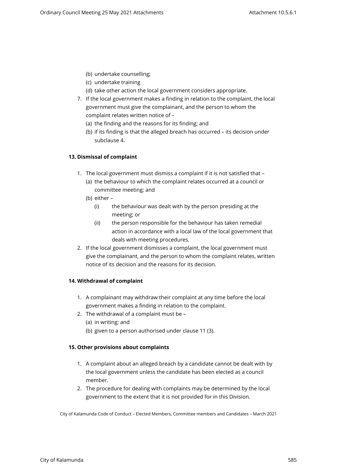- (b) undertake counselling;
- (c) undertake training
- (d) take other action the local government considers appropriate.
- 7. If the local government makes a finding in relation to the complaint, the local government must give the complainant, and the person to whom the complaint relates written notice of –
	- (a) the finding and the reasons for its finding; and
	- (b) if its finding is that the alleged breach has occurred its decision under subclause 4.

# **13. Dismissal of complaint**

- 1. The local government must dismiss a complaint if it is not satisfied that
	- (a) the behaviour to which the complaint relates occurred at a council or committee meeting; and
	- (b) either
		- (i) the behaviour was dealt with by the person presiding at the meeting; or
		- (ii) the person responsible for the behaviour has taken remedial action in accordance with a local law of the local government that deals with meeting procedures.
- 2. If the local government dismisses a complaint, the local government must give the complainant, and the person to whom the complaint relates, written notice of its decision and the reasons for its decision.

# **14. Withdrawal of complaint**

- 1. A complainant may withdraw their complaint at any time before the local government makes a finding in relation to the complaint.
- 2. The withdrawal of a complaint must be
	- (a) in writing; and
	- (b) given to a person authorised under clause 11 (3).

## **15. Other provisions about complaints**

- 1. A complaint about an alleged breach by a candidate cannot be dealt with by the local government unless the candidate has been elected as a council member.
- 2. The procedure for dealing with complaints may be determined by the local government to the extent that it is not provided for in this Division.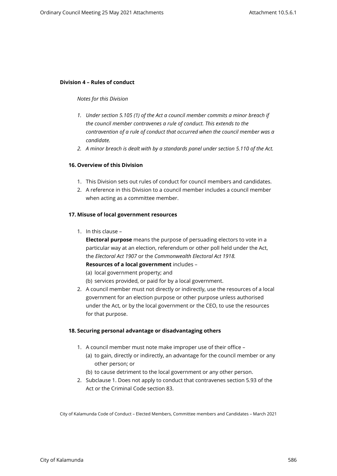#### **Division 4 – Rules of conduct**

#### *Notes for this Division*

- *1. Under section 5.105 (1) of the Act a council member commits a minor breach if the council member contravenes a rule of conduct. This extends to the contravention of a rule of conduct that occurred when the council member was a candidate.*
- *2. A minor breach is dealt with by a standards panel under section 5.110 of the Act.*

## **16. Overview of this Division**

- 1. This Division sets out rules of conduct for council members and candidates.
- 2. A reference in this Division to a council member includes a council member when acting as a committee member.

#### **17. Misuse of local government resources**

1. In this clause –

**Electoral purpose** means the purpose of persuading electors to vote in a particular way at an election, referendum or other poll held under the Act, the *Electoral Act 1907* or the *Commonwealth Electoral Act 1918.* **Resources of a local government** includes –

- 
- (a) local government property; and
- (b) services provided, or paid for by a local government.
- 2. A council member must not directly or indirectly, use the resources of a local government for an election purpose or other purpose unless authorised under the Act, or by the local government or the CEO, to use the resources for that purpose.

#### **18. Securing personal advantage or disadvantaging others**

- 1. A council member must note make improper use of their office
	- (a) to gain, directly or indirectly, an advantage for the council member or any other person; or
	- (b) to cause detriment to the local government or any other person.
- 2. Subclause 1. Does not apply to conduct that contravenes section 5.93 of the Act or the Criminal Code section 83.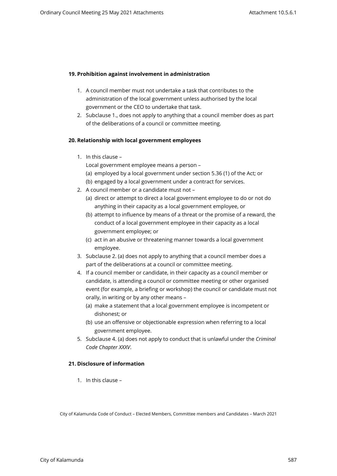## **19. Prohibition against involvement in administration**

- 1. A council member must not undertake a task that contributes to the administration of the local government unless authorised by the local government or the CEO to undertake that task.
- 2. Subclause 1., does not apply to anything that a council member does as part of the deliberations of a council or committee meeting.

## **20. Relationship with local government employees**

1. In this clause –

Local government employee means a person –

- (a) employed by a local government under section 5.36 (1) of the Act; or
- (b) engaged by a local government under a contract for services.
- 2. A council member or a candidate must not
	- (a) direct or attempt to direct a local government employee to do or not do anything in their capacity as a local government employee, or
	- (b) attempt to influence by means of a threat or the promise of a reward, the conduct of a local government employee in their capacity as a local government employee; or
	- (c) act in an abusive or threatening manner towards a local government employee.
- 3. Subclause 2. (a) does not apply to anything that a council member does a part of the deliberations at a council or committee meeting.
- 4. If a council member or candidate, in their capacity as a council member or candidate, is attending a council or committee meeting or other organised event (for example, a briefing or workshop) the council or candidate must not orally, in writing or by any other means –
	- (a) make a statement that a local government employee is incompetent or dishonest; or
	- (b) use an offensive or objectionable expression when referring to a local government employee.
- 5. Subclause 4. (a) does not apply to conduct that is unlawful under the *Criminal Code Chapter XXXV*.

## **21. Disclosure of information**

1. In this clause –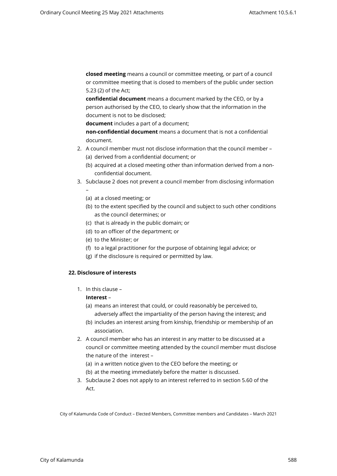**closed meeting** means a council or committee meeting, or part of a council or committee meeting that is closed to members of the public under section 5.23 (2) of the Act;

**confidential document** means a document marked by the CEO, or by a person authorised by the CEO, to clearly show that the information in the document is not to be disclosed;

**document** includes a part of a document;

**non-confidential document** means a document that is not a confidential document.

- 2. A council member must not disclose information that the council member (a) derived from a confidential document; or
	- (b) acquired at a closed meeting other than information derived from a nonconfidential document.
- 3. Subclause 2 does not prevent a council member from disclosing information –
	- (a) at a closed meeting; or
	- (b) to the extent specified by the council and subject to such other conditions as the council determines; or
	- (c) that is already in the public domain; or
	- (d) to an officer of the department; or
	- (e) to the Minister; or
	- (f) to a legal practitioner for the purpose of obtaining legal advice; or
	- (g) if the disclosure is required or permitted by law.

## **22. Disclosure of interests**

1. In this clause –

## **Interest** –

- (a) means an interest that could, or could reasonably be perceived to,
- adversely affect the impartiality of the person having the interest; and (b) includes an interest arsing from kinship, friendship or membership of an
	- association.
- 2. A council member who has an interest in any matter to be discussed at a council or committee meeting attended by the council member must disclose the nature of the interest –
	- (a) in a written notice given to the CEO before the meeting; or
	- (b) at the meeting immediately before the matter is discussed.
- 3. Subclause 2 does not apply to an interest referred to in section 5.60 of the Act.